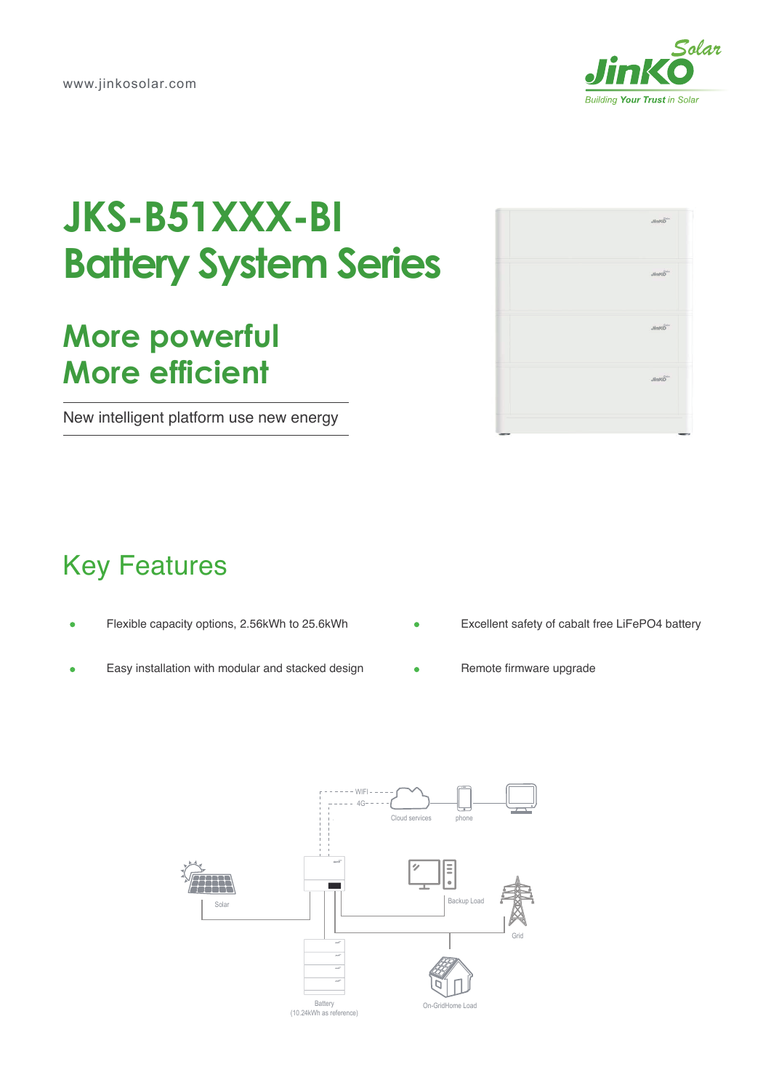

## **JKS-B51XXX-BI Battery System Series**

## **More powerful More efficient**

New intelligent platform use new energy

| <b>JinKO</b> |
|--------------|
| <b>JinKO</b> |
| <b>JinKO</b> |
| <b>JinKO</b> |
|              |

## Key Features

- Flexible capacity options, 2.56kWh to 25.6kWh  $\blacksquare$
- Easy installation with modular and stacked design
- Excellent safety of cabalt free LiFePO4 battery
- Remote firmware upgrade